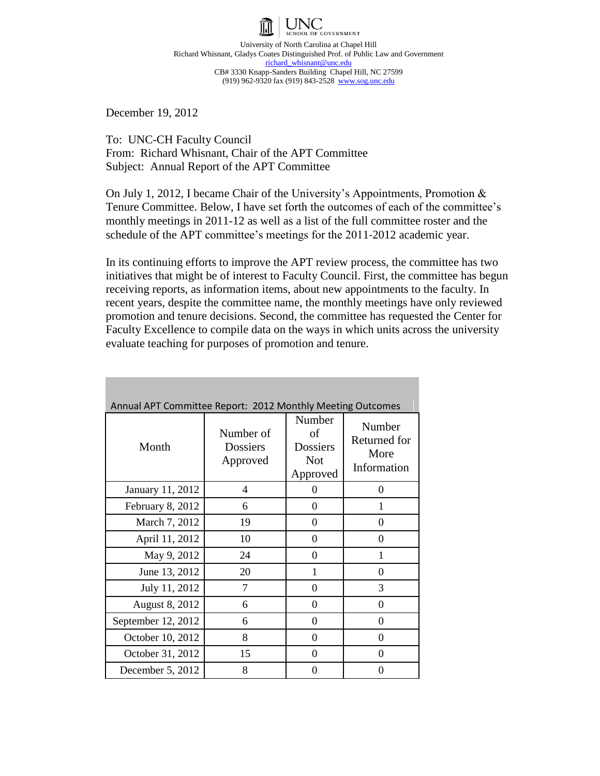

University of North Carolina at Chapel Hill Richard Whisnant, Gladys Coates Distinguished Prof. of Public Law and Government richard\_whisnant@unc.edu CB# 3330 Knapp-Sanders Building Chapel Hill, NC 27599 (919) 962-9320 fax (919) 843-2528 www.sog.unc.edu

December 19, 2012

To: UNC-CH Faculty Council From: Richard Whisnant, Chair of the APT Committee Subject: Annual Report of the APT Committee

On July 1, 2012, I became Chair of the University's Appointments, Promotion & Tenure Committee. Below, I have set forth the outcomes of each of the committee's monthly meetings in 2011-12 as well as a list of the full committee roster and the schedule of the APT committee's meetings for the 2011‐2012 academic year.

In its continuing efforts to improve the APT review process, the committee has two initiatives that might be of interest to Faculty Council. First, the committee has begun receiving reports, as information items, about new appointments to the faculty. In recent years, despite the committee name, the monthly meetings have only reviewed promotion and tenure decisions. Second, the committee has requested the Center for Faculty Excellence to compile data on the ways in which units across the university evaluate teaching for purposes of promotion and tenure.

| Annual APT Committee Report: 2012 Monthly Meeting Outcomes |                                   |                                                           |                                               |  |  |
|------------------------------------------------------------|-----------------------------------|-----------------------------------------------------------|-----------------------------------------------|--|--|
| Month                                                      | Number of<br>Dossiers<br>Approved | Number<br>of<br><b>Dossiers</b><br><b>Not</b><br>Approved | Number<br>Returned for<br>More<br>Information |  |  |
| January 11, 2012                                           | 4                                 | 0                                                         | $\Omega$                                      |  |  |
| February 8, 2012                                           | 6                                 | $\Omega$                                                  | 1                                             |  |  |
| March 7, 2012                                              | 19                                | $\theta$                                                  | $\theta$                                      |  |  |
| April 11, 2012                                             | 10                                | $\theta$                                                  | $\theta$                                      |  |  |
| May 9, 2012                                                | 24                                | $\theta$                                                  | 1                                             |  |  |
| June 13, 2012                                              | 20                                | 1                                                         | 0                                             |  |  |
| July 11, 2012                                              | 7                                 | 0                                                         | 3                                             |  |  |
| <b>August 8, 2012</b>                                      | 6                                 | 0                                                         | 0                                             |  |  |
| September 12, 2012                                         | 6                                 | 0                                                         | 0                                             |  |  |
| October 10, 2012                                           | 8                                 | $\theta$                                                  | 0                                             |  |  |
| October 31, 2012                                           | 15                                | $\theta$                                                  | $\theta$                                      |  |  |
| December 5, 2012                                           | 8                                 | 0                                                         | 0                                             |  |  |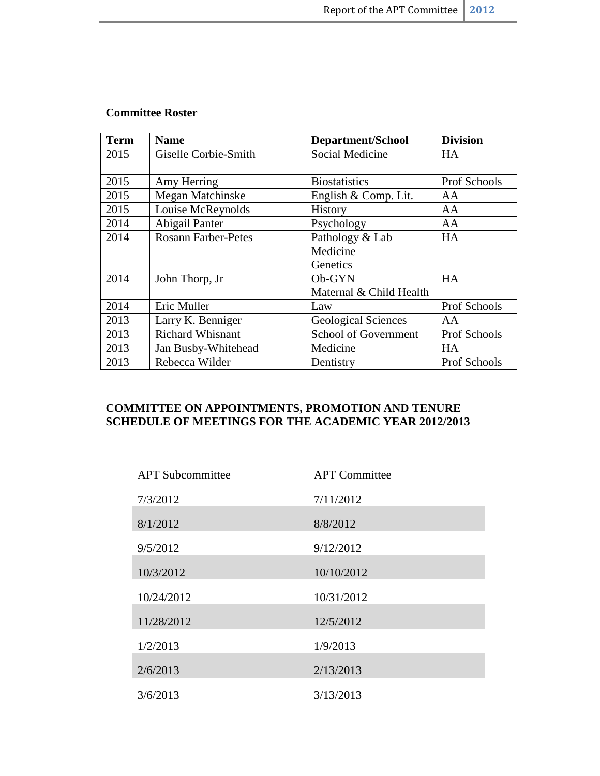## **Committee Roster**

| <b>Term</b> | <b>Name</b>                | <b>Department/School</b>   | <b>Division</b> |
|-------------|----------------------------|----------------------------|-----------------|
| 2015        | Giselle Corbie-Smith       | Social Medicine            | <b>HA</b>       |
|             |                            |                            |                 |
| 2015        | Amy Herring                | <b>Biostatistics</b>       | Prof Schools    |
| 2015        | Megan Matchinske           | English & Comp. Lit.       | AA              |
| 2015        | Louise McReynolds          | History                    | AA              |
| 2014        | Abigail Panter             | Psychology                 | AA              |
| 2014        | <b>Rosann Farber-Petes</b> | Pathology & Lab            | HA              |
|             |                            | Medicine                   |                 |
|             |                            | Genetics                   |                 |
| 2014        | John Thorp, Jr             | Ob-GYN                     | <b>HA</b>       |
|             |                            | Maternal & Child Health    |                 |
| 2014        | Eric Muller                | Law                        | Prof Schools    |
| 2013        | Larry K. Benniger          | <b>Geological Sciences</b> | AA              |
| 2013        | <b>Richard Whisnant</b>    | School of Government       | Prof Schools    |
| 2013        | Jan Busby-Whitehead        | Medicine                   | <b>HA</b>       |
| 2013        | Rebecca Wilder             | Dentistry                  | Prof Schools    |

## **COMMITTEE ON APPOINTMENTS, PROMOTION AND TENURE SCHEDULE OF MEETINGS FOR THE ACADEMIC YEAR 2012/2013**

| <b>APT</b> Subcommittee | <b>APT</b> Committee |
|-------------------------|----------------------|
| 7/3/2012                | 7/11/2012            |
| 8/1/2012                | 8/8/2012             |
| 9/5/2012                | 9/12/2012            |
| 10/3/2012               | 10/10/2012           |
| 10/24/2012              | 10/31/2012           |
| 11/28/2012              | 12/5/2012            |
| 1/2/2013                | 1/9/2013             |
| 2/6/2013                | 2/13/2013            |
| 3/6/2013                | 3/13/2013            |